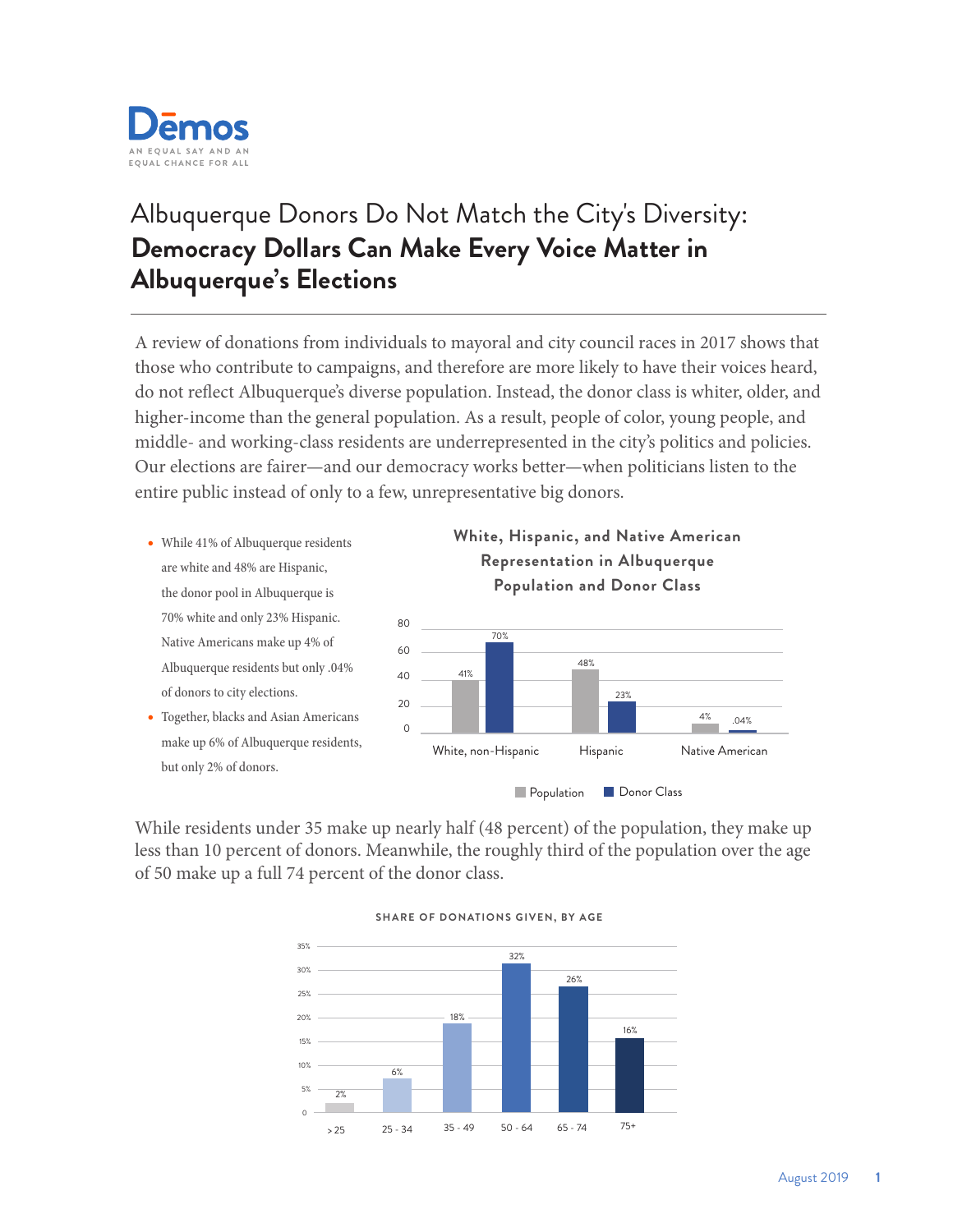

## Albuquerque Donors Do Not Match the City's Diversity: **Democracy Dollars Can Make Every Voice Matter in Albuquerque's Elections**

A review of donations from individuals to mayoral and city council races in 2017 shows that those who contribute to campaigns, and therefore are more likely to have their voices heard, do not reflect Albuquerque's diverse population. Instead, the donor class is whiter, older, and higher-income than the general population. As a result, people of color, young people, and middle- and working-class residents are underrepresented in the city's politics and policies. Our elections are fairer—and our democracy works better—when politicians listen to the entire public instead of only to a few, unrepresentative big donors.

- While 41% of Albuquerque residents are white and 48% are Hispanic, the donor pool in Albuquerque is 70% white and only 23% Hispanic. Native Americans make up 4% of Albuquerque residents but only .04% of donors to city elections.
- Together, blacks and Asian Americans make up 6% of Albuquerque residents, but only 2% of donors.



While residents under 35 make up nearly half (48 percent) of the population, they make up less than 10 percent of donors. Meanwhile, the roughly third of the population over the age of 50 make up a full 74 percent of the donor class.



## **SHARE OF DONATIONS GIVEN, BY AGE**